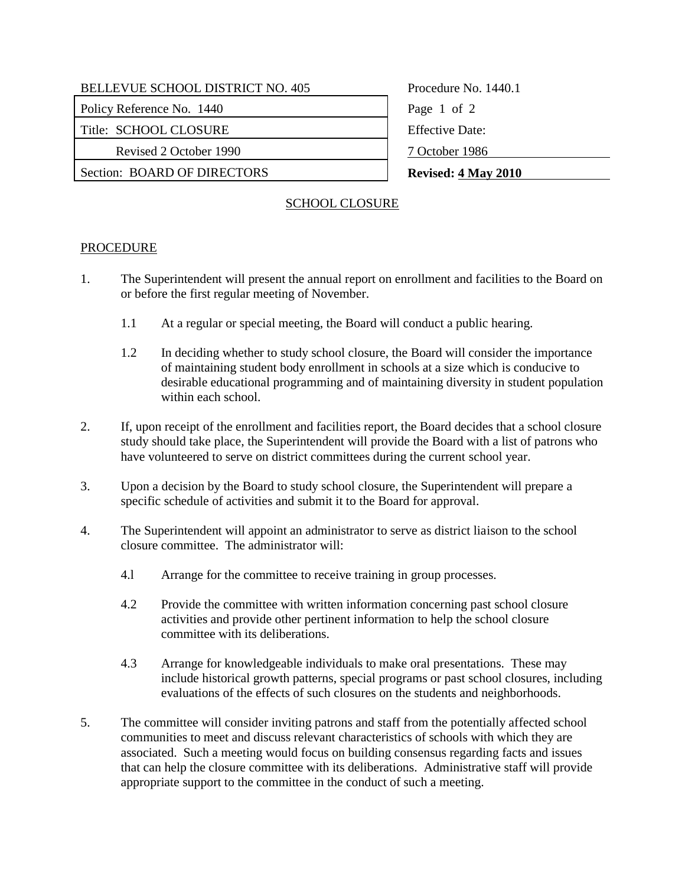Policy Reference No. 1440 Page 1 of 2

Title: SCHOOL CLOSURE Figure 2012

Revised 2 October 1990 7 October 1986

Section: BOARD OF DIRECTORS **Revised:** 4 May 2010

Procedure No. 1440.1

## SCHOOL CLOSURE

## PROCEDURE

- 1. The Superintendent will present the annual report on enrollment and facilities to the Board on or before the first regular meeting of November.
	- 1.1 At a regular or special meeting, the Board will conduct a public hearing.
	- 1.2 In deciding whether to study school closure, the Board will consider the importance of maintaining student body enrollment in schools at a size which is conducive to desirable educational programming and of maintaining diversity in student population within each school.
- 2. If, upon receipt of the enrollment and facilities report, the Board decides that a school closure study should take place, the Superintendent will provide the Board with a list of patrons who have volunteered to serve on district committees during the current school year.
- 3. Upon a decision by the Board to study school closure, the Superintendent will prepare a specific schedule of activities and submit it to the Board for approval.
- 4. The Superintendent will appoint an administrator to serve as district liaison to the school closure committee. The administrator will:
	- 4.l Arrange for the committee to receive training in group processes.
	- 4.2 Provide the committee with written information concerning past school closure activities and provide other pertinent information to help the school closure committee with its deliberations.
	- 4.3 Arrange for knowledgeable individuals to make oral presentations. These may include historical growth patterns, special programs or past school closures, including evaluations of the effects of such closures on the students and neighborhoods.
- 5. The committee will consider inviting patrons and staff from the potentially affected school communities to meet and discuss relevant characteristics of schools with which they are associated. Such a meeting would focus on building consensus regarding facts and issues that can help the closure committee with its deliberations. Administrative staff will provide appropriate support to the committee in the conduct of such a meeting.